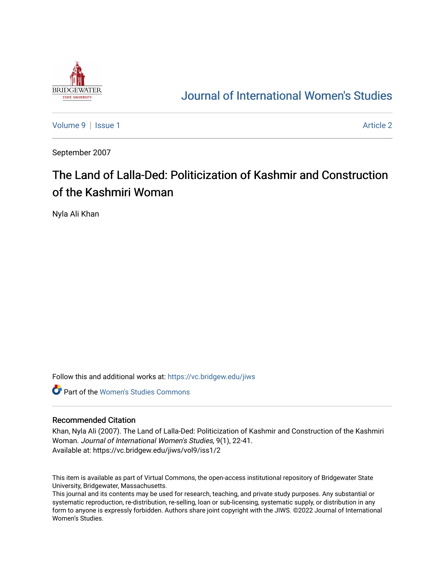

## [Journal of International Women's Studies](https://vc.bridgew.edu/jiws)

[Volume 9](https://vc.bridgew.edu/jiws/vol9) | [Issue 1](https://vc.bridgew.edu/jiws/vol9/iss1) Article 2

September 2007

# The Land of Lalla-Ded: Politicization of Kashmir and Construction of the Kashmiri Woman

Nyla Ali Khan

Follow this and additional works at: [https://vc.bridgew.edu/jiws](https://vc.bridgew.edu/jiws?utm_source=vc.bridgew.edu%2Fjiws%2Fvol9%2Fiss1%2F2&utm_medium=PDF&utm_campaign=PDFCoverPages)

**C** Part of the Women's Studies Commons

#### Recommended Citation

Khan, Nyla Ali (2007). The Land of Lalla-Ded: Politicization of Kashmir and Construction of the Kashmiri Woman. Journal of International Women's Studies, 9(1), 22-41. Available at: https://vc.bridgew.edu/jiws/vol9/iss1/2

This item is available as part of Virtual Commons, the open-access institutional repository of Bridgewater State University, Bridgewater, Massachusetts.

This journal and its contents may be used for research, teaching, and private study purposes. Any substantial or systematic reproduction, re-distribution, re-selling, loan or sub-licensing, systematic supply, or distribution in any form to anyone is expressly forbidden. Authors share joint copyright with the JIWS. ©2022 Journal of International Women's Studies.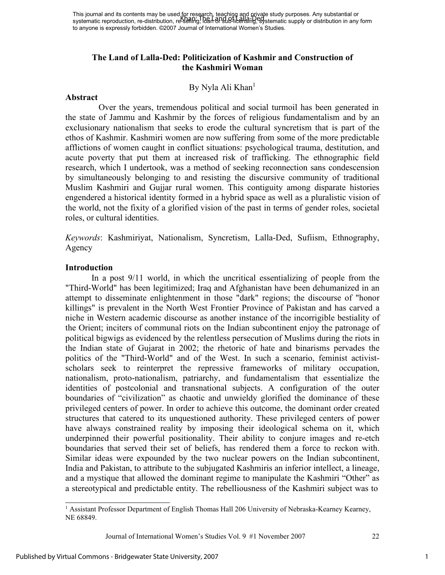## **The Land of Lalla-Ded: Politicization of Kashmir and Construction of the Kashmiri Woman**

## By Nyla Ali Khan<sup>1</sup>

#### **Abstract**

Over the years, tremendous political and social turmoil has been generated in the state of Jammu and Kashmir by the forces of religious fundamentalism and by an exclusionary nationalism that seeks to erode the cultural syncretism that is part of the ethos of Kashmir. Kashmiri women are now suffering from some of the more predictable afflictions of women caught in conflict situations: psychological trauma, destitution, and acute poverty that put them at increased risk of trafficking. The ethnographic field research, which I undertook, was a method of seeking reconnection sans condescension by simultaneously belonging to and resisting the discursive community of traditional Muslim Kashmiri and Gujjar rural women. This contiguity among disparate histories engendered a historical identity formed in a hybrid space as well as a pluralistic vision of the world, not the fixity of a glorified vision of the past in terms of gender roles, societal roles, or cultural identities.

*Keywords*: Kashmiriyat, Nationalism, Syncretism, Lalla-Ded, Sufiism, Ethnography, Agency

#### **Introduction**

In a post 9/11 world, in which the uncritical essentializing of people from the "Third-World" has been legitimized; Iraq and Afghanistan have been dehumanized in an attempt to disseminate enlightenment in those "dark" regions; the discourse of "honor killings" is prevalent in the North West Frontier Province of Pakistan and has carved a niche in Western academic discourse as another instance of the incorrigible bestiality of the Orient; inciters of communal riots on the Indian subcontinent enjoy the patronage of political bigwigs as evidenced by the relentless persecution of Muslims during the riots in the Indian state of Gujarat in 2002; the rhetoric of hate and binarisms pervades the politics of the "Third-World" and of the West. In such a scenario, feminist activistscholars seek to reinterpret the repressive frameworks of military occupation, nationalism, proto-nationalism, patriarchy, and fundamentalism that essentialize the identities of postcolonial and transnational subjects. A configuration of the outer boundaries of "civilization" as chaotic and unwieldy glorified the dominance of these privileged centers of power. In order to achieve this outcome, the dominant order created structures that catered to its unquestioned authority. These privileged centers of power have always constrained reality by imposing their ideological schema on it, which underpinned their powerful positionality. Their ability to conjure images and re-etch boundaries that served their set of beliefs, has rendered them a force to reckon with. Similar ideas were expounded by the two nuclear powers on the Indian subcontinent, India and Pakistan, to attribute to the subjugated Kashmiris an inferior intellect, a lineage, and a mystique that allowed the dominant regime to manipulate the Kashmiri "Other" as a stereotypical and predictable entity. The rebelliousness of the Kashmiri subject was to

1

<sup>&</sup>lt;sup>1</sup> Assistant Professor Department of English Thomas Hall 206 University of Nebraska-Kearney Kearney, NE 68849.

Journal of International Women's Studies Vol. 9 #1 November 2007 22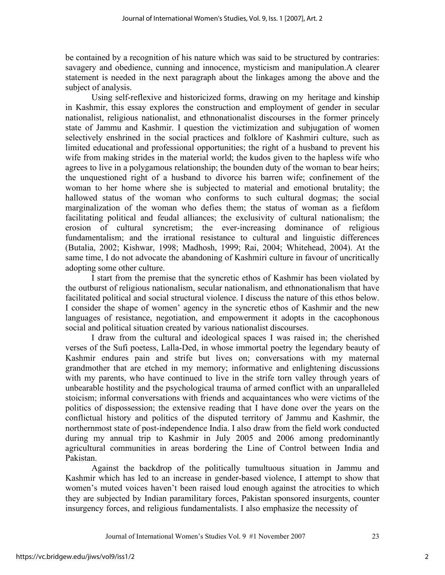be contained by a recognition of his nature which was said to be structured by contraries: savagery and obedience, cunning and innocence, mysticism and manipulation.A clearer statement is needed in the next paragraph about the linkages among the above and the subject of analysis.

Using self-reflexive and historicized forms, drawing on my heritage and kinship in Kashmir, this essay explores the construction and employment of gender in secular nationalist, religious nationalist, and ethnonationalist discourses in the former princely state of Jammu and Kashmir. I question the victimization and subjugation of women selectively enshrined in the social practices and folklore of Kashmiri culture, such as limited educational and professional opportunities; the right of a husband to prevent his wife from making strides in the material world; the kudos given to the hapless wife who agrees to live in a polygamous relationship; the bounden duty of the woman to bear heirs; the unquestioned right of a husband to divorce his barren wife; confinement of the woman to her home where she is subjected to material and emotional brutality; the hallowed status of the woman who conforms to such cultural dogmas; the social marginalization of the woman who defies them; the status of woman as a fiefdom facilitating political and feudal alliances; the exclusivity of cultural nationalism; the erosion of cultural syncretism; the ever-increasing dominance of religious fundamentalism; and the irrational resistance to cultural and linguistic differences (Butalia, 2002; Kishwar, 1998; Madhosh, 1999; Rai, 2004; Whitehead, 2004). At the same time, I do not advocate the abandoning of Kashmiri culture in favour of uncritically adopting some other culture.

I start from the premise that the syncretic ethos of Kashmir has been violated by the outburst of religious nationalism, secular nationalism, and ethnonationalism that have facilitated political and social structural violence. I discuss the nature of this ethos below. I consider the shape of women' agency in the syncretic ethos of Kashmir and the new languages of resistance, negotiation, and empowerment it adopts in the cacophonous social and political situation created by various nationalist discourses.

I draw from the cultural and ideological spaces I was raised in; the cherished verses of the Sufi poetess, Lalla-Ded, in whose immortal poetry the legendary beauty of Kashmir endures pain and strife but lives on; conversations with my maternal grandmother that are etched in my memory; informative and enlightening discussions with my parents, who have continued to live in the strife torn valley through years of unbearable hostility and the psychological trauma of armed conflict with an unparalleled stoicism; informal conversations with friends and acquaintances who were victims of the politics of dispossession; the extensive reading that I have done over the years on the conflictual history and politics of the disputed territory of Jammu and Kashmir, the northernmost state of post-independence India. I also draw from the field work conducted during my annual trip to Kashmir in July 2005 and 2006 among predominantly agricultural communities in areas bordering the Line of Control between India and Pakistan.

Against the backdrop of the politically tumultuous situation in Jammu and Kashmir which has led to an increase in gender-based violence, I attempt to show that women's muted voices haven't been raised loud enough against the atrocities to which they are subjected by Indian paramilitary forces, Pakistan sponsored insurgents, counter insurgency forces, and religious fundamentalists. I also emphasize the necessity of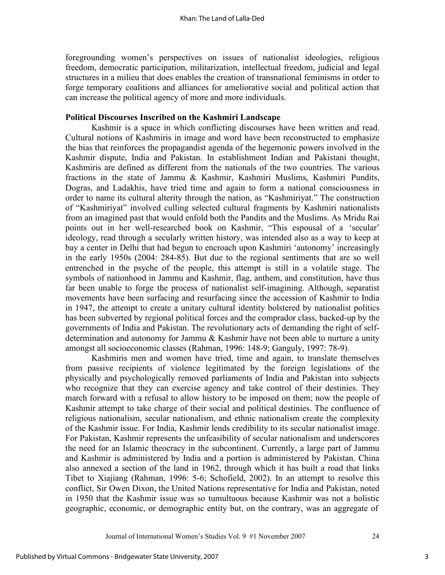foregrounding women's perspectives on issues of nationalist ideologies, religious freedom, democratic participation, militarization, intellectual freedom, judicial and legal structures in a milieu that does enables the creation of transnational feminisms in order to forge temporary coalitions and alliances for ameliorative social and political action that can increase the political agency of more and more individuals.

### **Political Discourses Inscribed on the Kashmiri Landscape**

Kashmir is a space in which conflicting discourses have been written and read. Cultural notions of Kashmiris in image and word have been reconstructed to emphasize the bias that reinforces the propagandist agenda of the hegemonic powers involved in the Kashmir dispute, India and Pakistan. In establishment Indian and Pakistani thought, Kashmiris are defined as different from the nationals of the two countries. The various fractions in the state of Jammu & Kashmir, Kashmiri Muslims, Kashmiri Pundits, Dogras, and Ladakhis, have tried time and again to form a national consciousness in order to name its cultural alterity through the nation, as "Kashmiriyat." The construction of "Kashmiriyat" involved culling selected cultural fragments by Kashmiri nationalists from an imagined past that would enfold both the Pandits and the Muslims. As Mridu Rai points out in her well-researched book on Kashmir, "This espousal of a 'secular' ideology, read through a secularly written history, was intended also as a way to keep at bay a center in Delhi that had begun to encroach upon Kashmiri 'autonomy' increasingly in the early 1950s (2004: 284-85). But due to the regional sentiments that are so well entrenched in the psyche of the people, this attempt is still in a volatile stage. The symbols of nationhood in Jammu and Kashmir, flag, anthem, and constitution, have thus far been unable to forge the process of nationalist self-imagining. Although, separatist movements have been surfacing and resurfacing since the accession of Kashmir to India in 1947, the attempt to create a unitary cultural identity bolstered by nationalist politics has been subverted by regional political forces and the comprador class, backed-up by the governments of India and Pakistan. The revolutionary acts of demanding the right of selfdetermination and autonomy for Jammu & Kashmir have not been able to nurture a unity amongst all socioeconomic classes (Rahman, 1996: 148-9; Ganguly, 1997: 78-9).

Kashmiris men and women have tried, time and again, to translate themselves from passive recipients of violence legitimated by the foreign legislations of the physically and psychologically removed parliaments of India and Pakistan into subjects who recognize that they can exercise agency and take control of their destinies. They march forward with a refusal to allow history to be imposed on them; now the people of Kashmir attempt to take charge of their social and political destinies. The confluence of religious nationalism, secular nationalism, and ethnic nationalism create the complexity of the Kashmir issue. For India, Kashmir lends credibility to its secular nationalist image. For Pakistan, Kashmir represents the unfeasibility of secular nationalism and underscores the need for an Islamic theocracy in the subcontinent. Currently, a large part of Jammu and Kashmir is administered by India and a portion is administered by Pakistan. China also annexed a section of the land in 1962, through which it has built a road that links Tibet to Xiajiang (Rahman, 1996: 5-6; Schofield, 2002). In an attempt to resolve this conflict, Sir Owen Dixon, the United Nations representative for India and Pakistan, noted in 1950 that the Kashmir issue was so tumultuous because Kashmir was not a holistic geographic, economic, or demographic entity but, on the contrary, was an aggregate of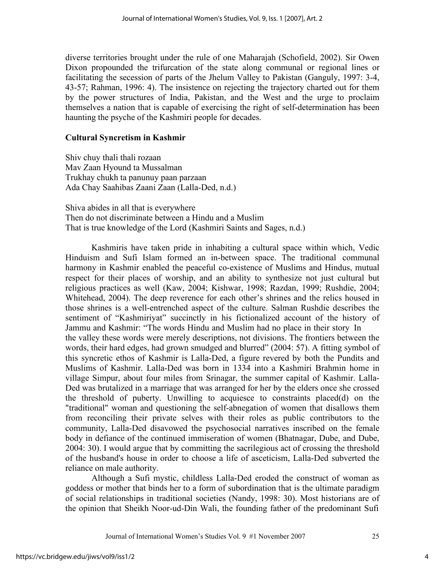diverse territories brought under the rule of one Maharajah (Schofield, 2002). Sir Owen Dixon propounded the trifurcation of the state along communal or regional lines or facilitating the secession of parts of the Jhelum Valley to Pakistan (Ganguly, 1997: 3-4, 43-57; Rahman, 1996: 4). The insistence on rejecting the trajectory charted out for them by the power structures of India, Pakistan, and the West and the urge to proclaim themselves a nation that is capable of exercising the right of self-determination has been haunting the psyche of the Kashmiri people for decades.

## **Cultural Syncretism in Kashmir**

Shiv chuy thali thali rozaan Mav Zaan Hyound ta Mussalman Trukhay chukh ta panunuy paan parzaan Ada Chay Saahibas Zaani Zaan (Lalla-Ded, n.d.)

Shiva abides in all that is everywhere Then do not discriminate between a Hindu and a Muslim That is true knowledge of the Lord (Kashmiri Saints and Sages, n.d.)

Kashmiris have taken pride in inhabiting a cultural space within which, Vedic Hinduism and Sufi Islam formed an in-between space. The traditional communal harmony in Kashmir enabled the peaceful co-existence of Muslims and Hindus, mutual respect for their places of worship, and an ability to synthesize not just cultural but religious practices as well (Kaw, 2004; Kishwar, 1998; Razdan, 1999; Rushdie, 2004; Whitehead, 2004). The deep reverence for each other's shrines and the relics housed in those shrines is a well-entrenched aspect of the culture. Salman Rushdie describes the sentiment of "Kashmiriyat" succinctly in his fictionalized account of the history of Jammu and Kashmir: "The words Hindu and Muslim had no place in their story In the valley these words were merely descriptions, not divisions. The frontiers between the words, their hard edges, had grown smudged and blurred" (2004: 57). A fitting symbol of this syncretic ethos of Kashmir is Lalla-Ded, a figure revered by both the Pundits and Muslims of Kashmir. Lalla-Ded was born in 1334 into a Kashmiri Brahmin home in village Simpur, about four miles from Srinagar, the summer capital of Kashmir. Lalla-Ded was brutalized in a marriage that was arranged for her by the elders once she crossed the threshold of puberty. Unwilling to acquiesce to constraints placed $(d)$  on the "traditional" woman and questioning the self-abnegation of women that disallows them from reconciling their private selves with their roles as public contributors to the community, Lalla-Ded disavowed the psychosocial narratives inscribed on the female body in defiance of the continued immiseration of women (Bhatnagar, Dube, and Dube, 2004: 30). I would argue that by committing the sacrilegious act of crossing the threshold of the husband's house in order to choose a life of asceticism, Lalla-Ded subverted the reliance on male authority.

Although a Sufi mystic, childless Lalla-Ded eroded the construct of woman as goddess or mother that binds her to a form of subordination that is the ultimate paradigm of social relationships in traditional societies (Nandy, 1998: 30). Most historians are of the opinion that Sheikh Noor-ud-Din Wali, the founding father of the predominant Sufi

Journal of International Women's Studies Vol. 9 #1 November 2007 25

4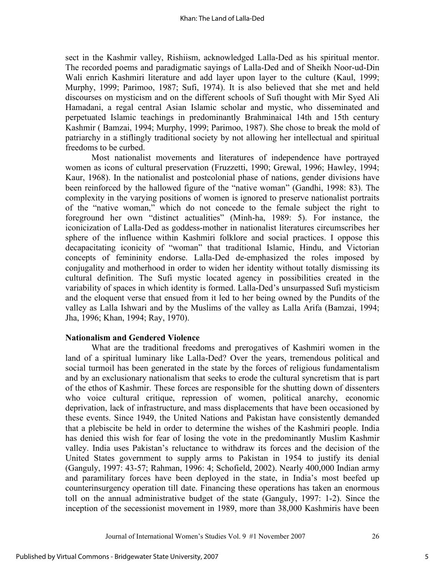sect in the Kashmir valley, Rishiism, acknowledged Lalla-Ded as his spiritual mentor. The recorded poems and paradigmatic sayings of Lalla-Ded and of Sheikh Noor-ud-Din Wali enrich Kashmiri literature and add layer upon layer to the culture (Kaul, 1999; Murphy, 1999; Parimoo, 1987; Sufi, 1974). It is also believed that she met and held discourses on mysticism and on the different schools of Sufi thought with Mir Syed Ali Hamadani, a regal central Asian Islamic scholar and mystic, who disseminated and perpetuated Islamic teachings in predominantly Brahminaical 14th and 15th century Kashmir ( Bamzai, 1994; Murphy, 1999; Parimoo, 1987). She chose to break the mold of patriarchy in a stiflingly traditional society by not allowing her intellectual and spiritual freedoms to be curbed.

Most nationalist movements and literatures of independence have portrayed women as icons of cultural preservation (Fruzzetti, 1990; Grewal, 1996; Hawley, 1994; Kaur, 1968). In the nationalist and postcolonial phase of nations, gender divisions have been reinforced by the hallowed figure of the "native woman" (Gandhi, 1998: 83). The complexity in the varying positions of women is ignored to preserve nationalist portraits of the "native woman," which do not concede to the female subject the right to foreground her own "distinct actualities" (Minh-ha, 1989: 5). For instance, the iconicization of Lalla-Ded as goddess-mother in nationalist literatures circumscribes her sphere of the influence within Kashmiri folklore and social practices. I oppose this decapacitating iconicity of "woman" that traditional Islamic, Hindu, and Victorian concepts of femininity endorse. Lalla-Ded de-emphasized the roles imposed by conjugality and motherhood in order to widen her identity without totally dismissing its cultural definition. The Sufi mystic located agency in possibilities created in the variability of spaces in which identity is formed. Lalla-Ded's unsurpassed Sufi mysticism and the eloquent verse that ensued from it led to her being owned by the Pundits of the valley as Lalla Ishwari and by the Muslims of the valley as Lalla Arifa (Bamzai, 1994; Jha, 1996; Khan, 1994; Ray, 1970).

#### **Nationalism and Gendered Violence**

What are the traditional freedoms and prerogatives of Kashmiri women in the land of a spiritual luminary like Lalla-Ded? Over the years, tremendous political and social turmoil has been generated in the state by the forces of religious fundamentalism and by an exclusionary nationalism that seeks to erode the cultural syncretism that is part of the ethos of Kashmir. These forces are responsible for the shutting down of dissenters who voice cultural critique, repression of women, political anarchy, economic deprivation, lack of infrastructure, and mass displacements that have been occasioned by these events. Since 1949, the United Nations and Pakistan have consistently demanded that a plebiscite be held in order to determine the wishes of the Kashmiri people. India has denied this wish for fear of losing the vote in the predominantly Muslim Kashmir valley. India uses Pakistan's reluctance to withdraw its forces and the decision of the United States government to supply arms to Pakistan in 1954 to justify its denial (Ganguly, 1997: 43-57; Rahman, 1996: 4; Schofield, 2002). Nearly 400,000 Indian army and paramilitary forces have been deployed in the state, in India's most beefed up counterinsurgency operation till date. Financing these operations has taken an enormous toll on the annual administrative budget of the state (Ganguly, 1997: 1-2). Since the inception of the secessionist movement in 1989, more than 38,000 Kashmiris have been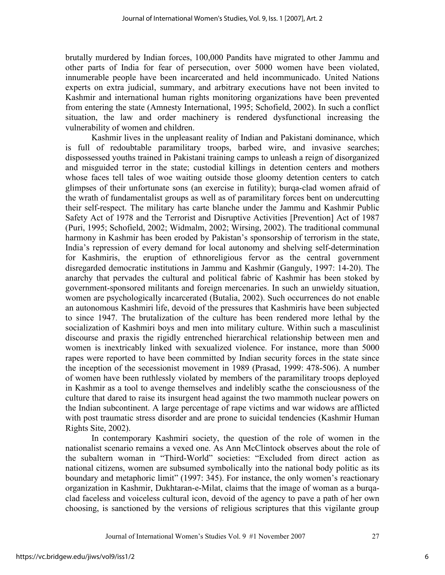brutally murdered by Indian forces, 100,000 Pandits have migrated to other Jammu and other parts of India for fear of persecution, over 5000 women have been violated, innumerable people have been incarcerated and held incommunicado. United Nations experts on extra judicial, summary, and arbitrary executions have not been invited to Kashmir and international human rights monitoring organizations have been prevented from entering the state (Amnesty International, 1995; Schofield, 2002). In such a conflict situation, the law and order machinery is rendered dysfunctional increasing the vulnerability of women and children.

Kashmir lives in the unpleasant reality of Indian and Pakistani dominance, which is full of redoubtable paramilitary troops, barbed wire, and invasive searches; dispossessed youths trained in Pakistani training camps to unleash a reign of disorganized and misguided terror in the state; custodial killings in detention centers and mothers whose faces tell tales of woe waiting outside those gloomy detention centers to catch glimpses of their unfortunate sons (an exercise in futility); burqa-clad women afraid of the wrath of fundamentalist groups as well as of paramilitary forces bent on undercutting their self-respect. The military has carte blanche under the Jammu and Kashmir Public Safety Act of 1978 and the Terrorist and Disruptive Activities [Prevention] Act of 1987 (Puri, 1995; Schofield, 2002; Widmalm, 2002; Wirsing, 2002). The traditional communal harmony in Kashmir has been eroded by Pakistan's sponsorship of terrorism in the state, India's repression of every demand for local autonomy and shelving self-determination for Kashmiris, the eruption of ethnoreligious fervor as the central government disregarded democratic institutions in Jammu and Kashmir (Ganguly, 1997: 14-20). The anarchy that pervades the cultural and political fabric of Kashmir has been stoked by government-sponsored militants and foreign mercenaries. In such an unwieldy situation, women are psychologically incarcerated (Butalia, 2002). Such occurrences do not enable an autonomous Kashmiri life, devoid of the pressures that Kashmiris have been subjected to since 1947. The brutalization of the culture has been rendered more lethal by the socialization of Kashmiri boys and men into military culture. Within such a masculinist discourse and praxis the rigidly entrenched hierarchical relationship between men and women is inextricably linked with sexualized violence. For instance, more than 5000 rapes were reported to have been committed by Indian security forces in the state since the inception of the secessionist movement in 1989 (Prasad, 1999: 478-506). A number of women have been ruthlessly violated by members of the paramilitary troops deployed in Kashmir as a tool to avenge themselves and indelibly scathe the consciousness of the culture that dared to raise its insurgent head against the two mammoth nuclear powers on the Indian subcontinent. A large percentage of rape victims and war widows are afflicted with post traumatic stress disorder and are prone to suicidal tendencies (Kashmir Human Rights Site, 2002).

In contemporary Kashmiri society, the question of the role of women in the nationalist scenario remains a vexed one. As Ann McClintock observes about the role of the subaltern woman in "Third-World" societies: "Excluded from direct action as national citizens, women are subsumed symbolically into the national body politic as its boundary and metaphoric limit" (1997: 345). For instance, the only women's reactionary organization in Kashmir, Dukhtaran-e-Milat, claims that the image of woman as a burqaclad faceless and voiceless cultural icon, devoid of the agency to pave a path of her own choosing, is sanctioned by the versions of religious scriptures that this vigilante group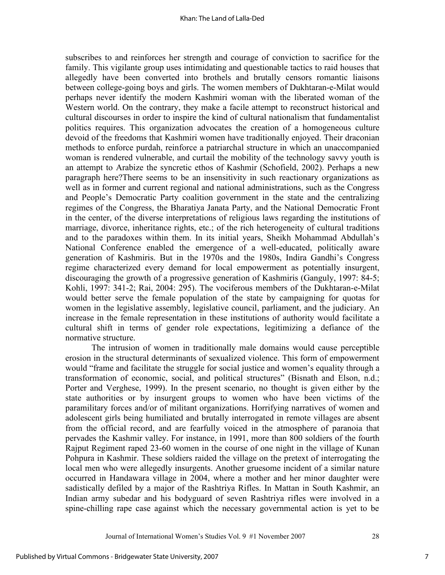subscribes to and reinforces her strength and courage of conviction to sacrifice for the family. This vigilante group uses intimidating and questionable tactics to raid houses that allegedly have been converted into brothels and brutally censors romantic liaisons between college-going boys and girls. The women members of Dukhtaran-e-Milat would perhaps never identify the modern Kashmiri woman with the liberated woman of the Western world. On the contrary, they make a facile attempt to reconstruct historical and cultural discourses in order to inspire the kind of cultural nationalism that fundamentalist politics requires. This organization advocates the creation of a homogeneous culture devoid of the freedoms that Kashmiri women have traditionally enjoyed. Their draconian methods to enforce purdah, reinforce a patriarchal structure in which an unaccompanied woman is rendered vulnerable, and curtail the mobility of the technology savvy youth is an attempt to Arabize the syncretic ethos of Kashmir (Schofield, 2002). Perhaps a new paragraph here?There seems to be an insensitivity in such reactionary organizations as well as in former and current regional and national administrations, such as the Congress and People's Democratic Party coalition government in the state and the centralizing regimes of the Congress, the Bharatiya Janata Party, and the National Democratic Front in the center, of the diverse interpretations of religious laws regarding the institutions of marriage, divorce, inheritance rights, etc.; of the rich heterogeneity of cultural traditions and to the paradoxes within them. In its initial years, Sheikh Mohammad Abdullah's National Conference enabled the emergence of a well-educated, politically aware generation of Kashmiris. But in the 1970s and the 1980s, Indira Gandhi's Congress regime characterized every demand for local empowerment as potentially insurgent, discouraging the growth of a progressive generation of Kashmiris (Ganguly, 1997: 84-5; Kohli, 1997: 341-2; Rai, 2004: 295). The vociferous members of the Dukhtaran-e-Milat would better serve the female population of the state by campaigning for quotas for women in the legislative assembly, legislative council, parliament, and the judiciary. An increase in the female representation in these institutions of authority would facilitate a cultural shift in terms of gender role expectations, legitimizing a defiance of the normative structure.

The intrusion of women in traditionally male domains would cause perceptible erosion in the structural determinants of sexualized violence. This form of empowerment would "frame and facilitate the struggle for social justice and women's equality through a transformation of economic, social, and political structures" (Bisnath and Elson, n.d.; Porter and Verghese, 1999). In the present scenario, no thought is given either by the state authorities or by insurgent groups to women who have been victims of the paramilitary forces and/or of militant organizations. Horrifying narratives of women and adolescent girls being humiliated and brutally interrogated in remote villages are absent from the official record, and are fearfully voiced in the atmosphere of paranoia that pervades the Kashmir valley. For instance, in 1991, more than 800 soldiers of the fourth Rajput Regiment raped 23-60 women in the course of one night in the village of Kunan Pohpura in Kashmir. These soldiers raided the village on the pretext of interrogating the local men who were allegedly insurgents. Another gruesome incident of a similar nature occurred in Handawara village in 2004, where a mother and her minor daughter were sadistically defiled by a major of the Rashtriya Rifles. In Mattan in South Kashmir, an Indian army subedar and his bodyguard of seven Rashtriya rifles were involved in a spine-chilling rape case against which the necessary governmental action is yet to be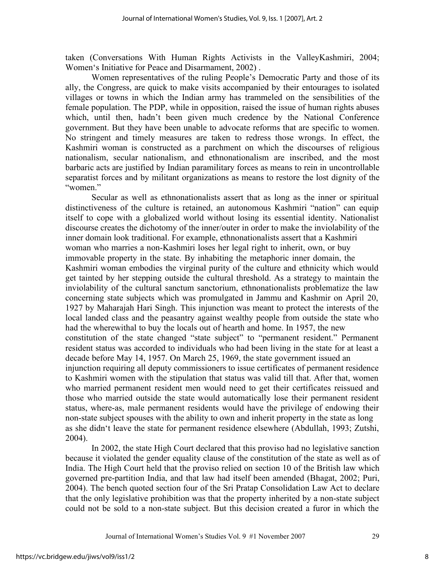taken (Conversations With Human Rights Activists in the ValleyKashmiri, 2004; Women's Initiative for Peace and Disarmament, 2002) .

Women representatives of the ruling People's Democratic Party and those of its ally, the Congress, are quick to make visits accompanied by their entourages to isolated villages or towns in which the Indian army has trammeled on the sensibilities of the female population. The PDP, while in opposition, raised the issue of human rights abuses which, until then, hadn't been given much credence by the National Conference government. But they have been unable to advocate reforms that are specific to women. No stringent and timely measures are taken to redress those wrongs. In effect, the Kashmiri woman is constructed as a parchment on which the discourses of religious nationalism, secular nationalism, and ethnonationalism are inscribed, and the most barbaric acts are justified by Indian paramilitary forces as means to rein in uncontrollable separatist forces and by militant organizations as means to restore the lost dignity of the "women."

Secular as well as ethnonationalists assert that as long as the inner or spiritual distinctiveness of the culture is retained, an autonomous Kashmiri "nation" can equip itself to cope with a globalized world without losing its essential identity. Nationalist discourse creates the dichotomy of the inner/outer in order to make the inviolability of the inner domain look traditional. For example, ethnonationalists assert that a Kashmiri woman who marries a non-Kashmiri loses her legal right to inherit, own, or buy immovable property in the state. By inhabiting the metaphoric inner domain, the Kashmiri woman embodies the virginal purity of the culture and ethnicity which would get tainted by her stepping outside the cultural threshold. As a strategy to maintain the inviolability of the cultural sanctum sanctorium, ethnonationalists problematize the law concerning state subjects which was promulgated in Jammu and Kashmir on April 20, 1927 by Maharajah Hari Singh. This injunction was meant to protect the interests of the local landed class and the peasantry against wealthy people from outside the state who had the wherewithal to buy the locals out of hearth and home. In 1957, the new constitution of the state changed "state subject" to "permanent resident." Permanent resident status was accorded to individuals who had been living in the state for at least a decade before May 14, 1957. On March 25, 1969, the state government issued an injunction requiring all deputy commissioners to issue certificates of permanent residence to Kashmiri women with the stipulation that status was valid till that. After that, women who married permanent resident men would need to get their certificates reissued and those who married outside the state would automatically lose their permanent resident status, where-as, male permanent residents would have the privilege of endowing their non-state subject spouses with the ability to own and inherit property in the state as long as she didn't leave the state for permanent residence elsewhere (Abdullah, 1993; Zutshi, 2004).

In 2002, the state High Court declared that this proviso had no legislative sanction because it violated the gender equality clause of the constitution of the state as well as of India. The High Court held that the proviso relied on section 10 of the British law which governed pre-partition India, and that law had itself been amended (Bhagat, 2002; Puri, 2004). The bench quoted section four of the Sri Pratap Consolidation Law Act to declare that the only legislative prohibition was that the property inherited by a non-state subject could not be sold to a non-state subject. But this decision created a furor in which the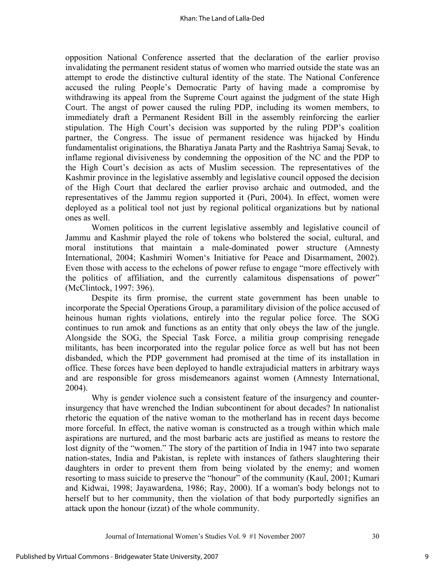opposition National Conference asserted that the declaration of the earlier proviso invalidating the permanent resident status of women who married outside the state was an attempt to erode the distinctive cultural identity of the state. The National Conference accused the ruling People's Democratic Party of having made a compromise by withdrawing its appeal from the Supreme Court against the judgment of the state High Court. The angst of power caused the ruling PDP, including its women members, to immediately draft a Permanent Resident Bill in the assembly reinforcing the earlier stipulation. The High Court's decision was supported by the ruling PDP's coalition partner, the Congress. The issue of permanent residence was hijacked by Hindu fundamentalist originations, the Bharatiya Janata Party and the Rashtriya Samaj Sevak, to inflame regional divisiveness by condemning the opposition of the NC and the PDP to the High Court's decision as acts of Muslim secession. The representatives of the Kashmir province in the legislative assembly and legislative council opposed the decision of the High Court that declared the earlier proviso archaic and outmoded, and the representatives of the Jammu region supported it (Puri, 2004). In effect, women were deployed as a political tool not just by regional political organizations but by national ones as well.

Women politicos in the current legislative assembly and legislative council of Jammu and Kashmir played the role of tokens who bolstered the social, cultural, and moral institutions that maintain a male-dominated power structure (Amnesty International, 2004; Kashmiri Women's Initiative for Peace and Disarmament, 2002). Even those with access to the echelons of power refuse to engage "more effectively with the politics of affiliation, and the currently calamitous dispensations of power" (McClintock, 1997: 396).

Despite its firm promise, the current state government has been unable to incorporate the Special Operations Group, a paramilitary division of the police accused of heinous human rights violations, entirely into the regular police force. The SOG continues to run amok and functions as an entity that only obeys the law of the jungle. Alongside the SOG, the Special Task Force, a militia group comprising renegade militants, has been incorporated into the regular police force as well but has not been disbanded, which the PDP government had promised at the time of its installation in office. These forces have been deployed to handle extrajudicial matters in arbitrary ways and are responsible for gross misdemeanors against women (Amnesty International, 2004).

Why is gender violence such a consistent feature of the insurgency and counterinsurgency that have wrenched the Indian subcontinent for about decades? In nationalist rhetoric the equation of the native woman to the motherland has in recent days become more forceful. In effect, the native woman is constructed as a trough within which male aspirations are nurtured, and the most barbaric acts are justified as means to restore the lost dignity of the "women." The story of the partition of India in 1947 into two separate nation-states, India and Pakistan, is replete with instances of fathers slaughtering their daughters in order to prevent them from being violated by the enemy; and women resorting to mass suicide to preserve the "honour" of the community (Kaul, 2001; Kumari and Kidwai, 1998; Jayawardena, 1986; Ray, 2000). If a woman's body belongs not to herself but to her community, then the violation of that body purportedly signifies an attack upon the honour (izzat) of the whole community.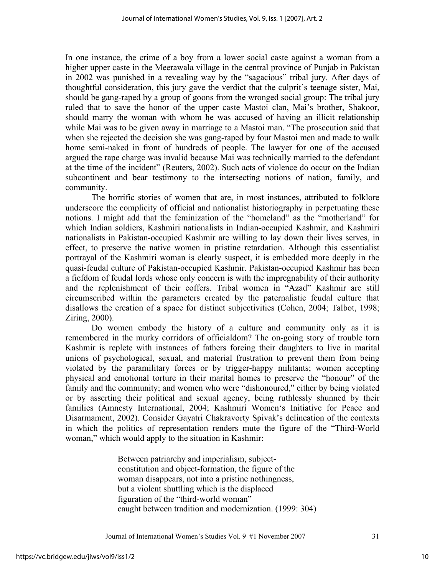In one instance, the crime of a boy from a lower social caste against a woman from a higher upper caste in the Meerawala village in the central province of Punjab in Pakistan in 2002 was punished in a revealing way by the "sagacious" tribal jury. After days of thoughtful consideration, this jury gave the verdict that the culprit's teenage sister, Mai, should be gang-raped by a group of goons from the wronged social group: The tribal jury ruled that to save the honor of the upper caste Mastoi clan, Mai's brother, Shakoor, should marry the woman with whom he was accused of having an illicit relationship while Mai was to be given away in marriage to a Mastoi man. "The prosecution said that when she rejected the decision she was gang-raped by four Mastoi men and made to walk home semi-naked in front of hundreds of people. The lawyer for one of the accused argued the rape charge was invalid because Mai was technically married to the defendant at the time of the incident" (Reuters, 2002). Such acts of violence do occur on the Indian subcontinent and bear testimony to the intersecting notions of nation, family, and community.

The horrific stories of women that are, in most instances, attributed to folklore underscore the complicity of official and nationalist historiography in perpetuating these notions. I might add that the feminization of the "homeland" as the "motherland" for which Indian soldiers, Kashmiri nationalists in Indian-occupied Kashmir, and Kashmiri nationalists in Pakistan-occupied Kashmir are willing to lay down their lives serves, in effect, to preserve the native women in pristine retardation. Although this essentialist portrayal of the Kashmiri woman is clearly suspect, it is embedded more deeply in the quasi-feudal culture of Pakistan-occupied Kashmir. Pakistan-occupied Kashmir has been a fiefdom of feudal lords whose only concern is with the impregnability of their authority and the replenishment of their coffers. Tribal women in "Azad" Kashmir are still circumscribed within the parameters created by the paternalistic feudal culture that disallows the creation of a space for distinct subjectivities (Cohen, 2004; Talbot, 1998; Ziring, 2000).

Do women embody the history of a culture and community only as it is remembered in the murky corridors of officialdom? The on-going story of trouble torn Kashmir is replete with instances of fathers forcing their daughters to live in marital unions of psychological, sexual, and material frustration to prevent them from being violated by the paramilitary forces or by trigger-happy militants; women accepting physical and emotional torture in their marital homes to preserve the "honour" of the family and the community; and women who were "dishonoured," either by being violated or by asserting their political and sexual agency, being ruthlessly shunned by their families (Amnesty International, 2004; Kashmiri Women's Initiative for Peace and Disarmament, 2002). Consider Gayatri Chakravorty Spivak's delineation of the contexts in which the politics of representation renders mute the figure of the "Third-World woman," which would apply to the situation in Kashmir:

> Between patriarchy and imperialism, subjectconstitution and object-formation, the figure of the woman disappears, not into a pristine nothingness, but a violent shuttling which is the displaced figuration of the "third-world woman" caught between tradition and modernization. (1999: 304)

Journal of International Women's Studies Vol. 9 #1 November 2007 31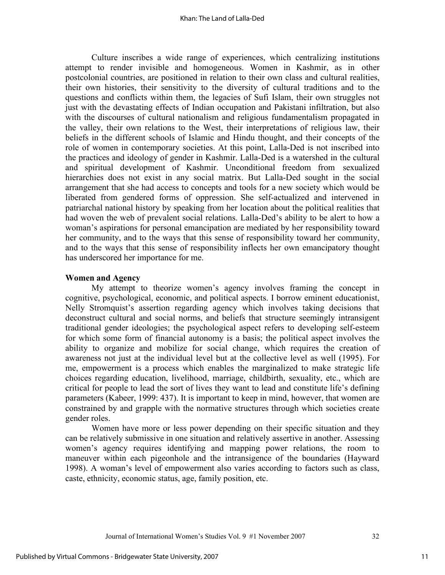Culture inscribes a wide range of experiences, which centralizing institutions attempt to render invisible and homogeneous. Women in Kashmir, as in other postcolonial countries, are positioned in relation to their own class and cultural realities, their own histories, their sensitivity to the diversity of cultural traditions and to the questions and conflicts within them, the legacies of Sufi Islam, their own struggles not just with the devastating effects of Indian occupation and Pakistani infiltration, but also with the discourses of cultural nationalism and religious fundamentalism propagated in the valley, their own relations to the West, their interpretations of religious law, their beliefs in the different schools of Islamic and Hindu thought, and their concepts of the role of women in contemporary societies. At this point, Lalla-Ded is not inscribed into the practices and ideology of gender in Kashmir. Lalla-Ded is a watershed in the cultural and spiritual development of Kashmir. Unconditional freedom from sexualized hierarchies does not exist in any social matrix. But Lalla-Ded sought in the social arrangement that she had access to concepts and tools for a new society which would be liberated from gendered forms of oppression. She self-actualized and intervened in patriarchal national history by speaking from her location about the political realities that had woven the web of prevalent social relations. Lalla-Ded's ability to be alert to how a woman's aspirations for personal emancipation are mediated by her responsibility toward her community, and to the ways that this sense of responsibility toward her community, and to the ways that this sense of responsibility inflects her own emancipatory thought has underscored her importance for me.

#### **Women and Agency**

My attempt to theorize women's agency involves framing the concept in cognitive, psychological, economic, and political aspects. I borrow eminent educationist, Nelly Stromquist's assertion regarding agency which involves taking decisions that deconstruct cultural and social norms, and beliefs that structure seemingly intransigent traditional gender ideologies; the psychological aspect refers to developing self-esteem for which some form of financial autonomy is a basis; the political aspect involves the ability to organize and mobilize for social change, which requires the creation of awareness not just at the individual level but at the collective level as well (1995). For me, empowerment is a process which enables the marginalized to make strategic life choices regarding education, livelihood, marriage, childbirth, sexuality, etc., which are critical for people to lead the sort of lives they want to lead and constitute life's defining parameters (Kabeer, 1999: 437). It is important to keep in mind, however, that women are constrained by and grapple with the normative structures through which societies create gender roles.

Women have more or less power depending on their specific situation and they can be relatively submissive in one situation and relatively assertive in another. Assessing women's agency requires identifying and mapping power relations, the room to maneuver within each pigeonhole and the intransigence of the boundaries (Hayward 1998). A woman's level of empowerment also varies according to factors such as class, caste, ethnicity, economic status, age, family position, etc.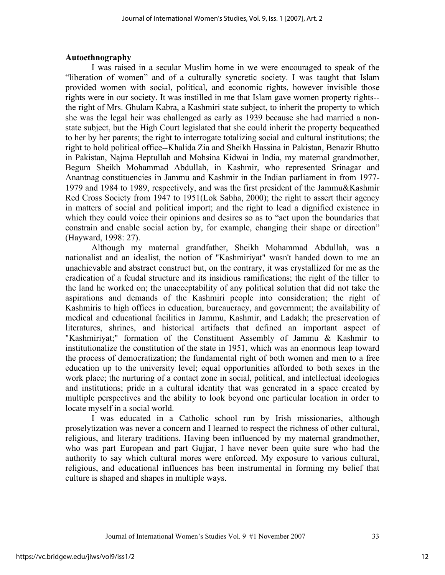## **Autoethnography**

I was raised in a secular Muslim home in we were encouraged to speak of the "liberation of women" and of a culturally syncretic society. I was taught that Islam provided women with social, political, and economic rights, however invisible those rights were in our society. It was instilled in me that Islam gave women property rights- the right of Mrs. Ghulam Kabra, a Kashmiri state subject, to inherit the property to which she was the legal heir was challenged as early as 1939 because she had married a nonstate subject, but the High Court legislated that she could inherit the property bequeathed to her by her parents; the right to interrogate totalizing social and cultural institutions; the right to hold political office--Khalida Zia and Sheikh Hassina in Pakistan, Benazir Bhutto in Pakistan, Najma Heptullah and Mohsina Kidwai in India, my maternal grandmother, Begum Sheikh Mohammad Abdullah, in Kashmir, who represented Srinagar and Anantnag constituencies in Jammu and Kashmir in the Indian parliament in from 1977- 1979 and 1984 to 1989, respectively, and was the first president of the Jammu&Kashmir Red Cross Society from 1947 to 1951(Lok Sabha, 2000); the right to assert their agency in matters of social and political import; and the right to lead a dignified existence in which they could voice their opinions and desires so as to "act upon the boundaries that constrain and enable social action by, for example, changing their shape or direction" (Hayward, 1998: 27).

Although my maternal grandfather, Sheikh Mohammad Abdullah, was a nationalist and an idealist, the notion of "Kashmiriyat" wasn't handed down to me an unachievable and abstract construct but, on the contrary, it was crystallized for me as the eradication of a feudal structure and its insidious ramifications; the right of the tiller to the land he worked on; the unacceptability of any political solution that did not take the aspirations and demands of the Kashmiri people into consideration; the right of Kashmiris to high offices in education, bureaucracy, and government; the availability of medical and educational facilities in Jammu, Kashmir, and Ladakh; the preservation of literatures, shrines, and historical artifacts that defined an important aspect of "Kashmiriyat;" formation of the Constituent Assembly of Jammu & Kashmir to institutionalize the constitution of the state in 1951, which was an enormous leap toward the process of democratization; the fundamental right of both women and men to a free education up to the university level; equal opportunities afforded to both sexes in the work place; the nurturing of a contact zone in social, political, and intellectual ideologies and institutions; pride in a cultural identity that was generated in a space created by multiple perspectives and the ability to look beyond one particular location in order to locate myself in a social world.

I was educated in a Catholic school run by Irish missionaries, although proselytization was never a concern and I learned to respect the richness of other cultural, religious, and literary traditions. Having been influenced by my maternal grandmother, who was part European and part Gujjar, I have never been quite sure who had the authority to say which cultural mores were enforced. My exposure to various cultural, religious, and educational influences has been instrumental in forming my belief that culture is shaped and shapes in multiple ways.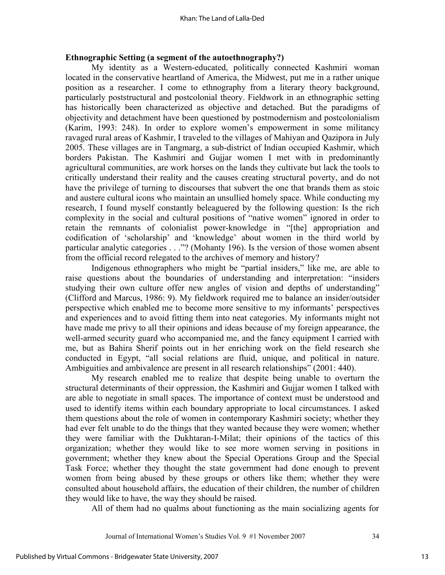## **Ethnographic Setting (a segment of the autoethnography?)**

My identity as a Western-educated, politically connected Kashmiri woman located in the conservative heartland of America, the Midwest, put me in a rather unique position as a researcher. I come to ethnography from a literary theory background, particularly poststructural and postcolonial theory. Fieldwork in an ethnographic setting has historically been characterized as objective and detached. But the paradigms of objectivity and detachment have been questioned by postmodernism and postcolonialism (Karim, 1993: 248). In order to explore women's empowerment in some militancy ravaged rural areas of Kashmir, I traveled to the villages of Mahiyan and Qazipora in July 2005. These villages are in Tangmarg, a sub-district of Indian occupied Kashmir, which borders Pakistan. The Kashmiri and Gujjar women I met with in predominantly agricultural communities, are work horses on the lands they cultivate but lack the tools to critically understand their reality and the causes creating structural poverty, and do not have the privilege of turning to discourses that subvert the one that brands them as stoic and austere cultural icons who maintain an unsullied homely space. While conducting my research, I found myself constantly beleaguered by the following question: Is the rich complexity in the social and cultural positions of "native women" ignored in order to retain the remnants of colonialist power-knowledge in "[the] appropriation and codification of 'scholarship' and 'knowledge' about women in the third world by particular analytic categories . . ."? (Mohanty 196). Is the version of those women absent from the official record relegated to the archives of memory and history?

Indigenous ethnographers who might be "partial insiders," like me, are able to raise questions about the boundaries of understanding and interpretation: "insiders studying their own culture offer new angles of vision and depths of understanding" (Clifford and Marcus, 1986: 9). My fieldwork required me to balance an insider/outsider perspective which enabled me to become more sensitive to my informants' perspectives and experiences and to avoid fitting them into neat categories. My informants might not have made me privy to all their opinions and ideas because of my foreign appearance, the well-armed security guard who accompanied me, and the fancy equipment I carried with me, but as Bahira Sherif points out in her enriching work on the field research she conducted in Egypt, "all social relations are fluid, unique, and political in nature. Ambiguities and ambivalence are present in all research relationships" (2001: 440).

My research enabled me to realize that despite being unable to overturn the structural determinants of their oppression, the Kashmiri and Gujjar women I talked with are able to negotiate in small spaces. The importance of context must be understood and used to identify items within each boundary appropriate to local circumstances. I asked them questions about the role of women in contemporary Kashmiri society; whether they had ever felt unable to do the things that they wanted because they were women; whether they were familiar with the Dukhtaran-I-Milat; their opinions of the tactics of this organization; whether they would like to see more women serving in positions in government; whether they knew about the Special Operations Group and the Special Task Force; whether they thought the state government had done enough to prevent women from being abused by these groups or others like them; whether they were consulted about household affairs, the education of their children, the number of children they would like to have, the way they should be raised.

All of them had no qualms about functioning as the main socializing agents for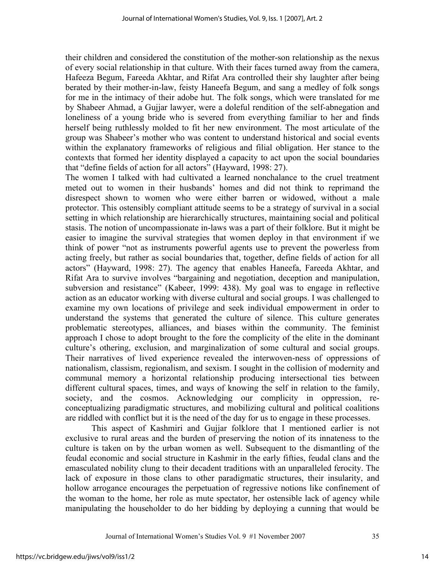their children and considered the constitution of the mother-son relationship as the nexus of every social relationship in that culture. With their faces turned away from the camera, Hafeeza Begum, Fareeda Akhtar, and Rifat Ara controlled their shy laughter after being berated by their mother-in-law, feisty Haneefa Begum, and sang a medley of folk songs for me in the intimacy of their adobe hut. The folk songs, which were translated for me by Shabeer Ahmad, a Gujjar lawyer, were a doleful rendition of the self-abnegation and loneliness of a young bride who is severed from everything familiar to her and finds herself being ruthlessly molded to fit her new environment. The most articulate of the group was Shabeer's mother who was content to understand historical and social events within the explanatory frameworks of religious and filial obligation. Her stance to the contexts that formed her identity displayed a capacity to act upon the social boundaries that "define fields of action for all actors" (Hayward, 1998: 27).

The women I talked with had cultivated a learned nonchalance to the cruel treatment meted out to women in their husbands' homes and did not think to reprimand the disrespect shown to women who were either barren or widowed, without a male protector. This ostensibly compliant attitude seems to be a strategy of survival in a social setting in which relationship are hierarchically structures, maintaining social and political stasis. The notion of uncompassionate in-laws was a part of their folklore. But it might be easier to imagine the survival strategies that women deploy in that environment if we think of power "not as instruments powerful agents use to prevent the powerless from acting freely, but rather as social boundaries that, together, define fields of action for all actors" (Hayward, 1998: 27). The agency that enables Haneefa, Fareeda Akhtar, and Rifat Ara to survive involves "bargaining and negotiation, deception and manipulation, subversion and resistance" (Kabeer, 1999: 438). My goal was to engage in reflective action as an educator working with diverse cultural and social groups. I was challenged to examine my own locations of privilege and seek individual empowerment in order to understand the systems that generated the culture of silence. This culture generates problematic stereotypes, alliances, and biases within the community. The feminist approach I chose to adopt brought to the fore the complicity of the elite in the dominant culture's othering, exclusion, and marginalization of some cultural and social groups. Their narratives of lived experience revealed the interwoven-ness of oppressions of nationalism, classism, regionalism, and sexism. I sought in the collision of modernity and communal memory a horizontal relationship producing intersectional ties between different cultural spaces, times, and ways of knowing the self in relation to the family, society, and the cosmos. Acknowledging our complicity in oppression, reconceptualizing paradigmatic structures, and mobilizing cultural and political coalitions are riddled with conflict but it is the need of the day for us to engage in these processes.

This aspect of Kashmiri and Gujjar folklore that I mentioned earlier is not exclusive to rural areas and the burden of preserving the notion of its innateness to the culture is taken on by the urban women as well. Subsequent to the dismantling of the feudal economic and social structure in Kashmir in the early fifties, feudal clans and the emasculated nobility clung to their decadent traditions with an unparalleled ferocity. The lack of exposure in those clans to other paradigmatic structures, their insularity, and hollow arrogance encourages the perpetuation of regressive notions like confinement of the woman to the home, her role as mute spectator, her ostensible lack of agency while manipulating the householder to do her bidding by deploying a cunning that would be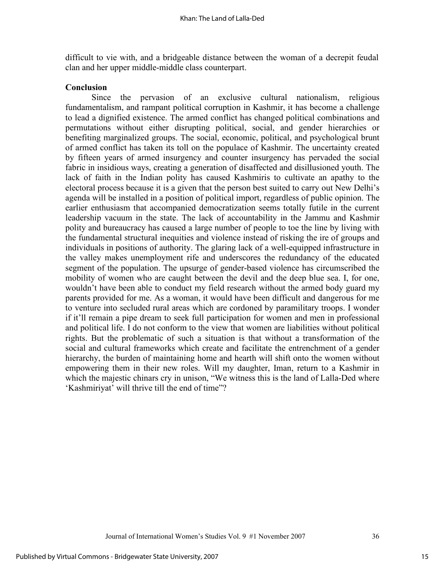difficult to vie with, and a bridgeable distance between the woman of a decrepit feudal clan and her upper middle-middle class counterpart.

## **Conclusion**

Since the pervasion of an exclusive cultural nationalism, religious fundamentalism, and rampant political corruption in Kashmir, it has become a challenge to lead a dignified existence. The armed conflict has changed political combinations and permutations without either disrupting political, social, and gender hierarchies or benefiting marginalized groups. The social, economic, political, and psychological brunt of armed conflict has taken its toll on the populace of Kashmir. The uncertainty created by fifteen years of armed insurgency and counter insurgency has pervaded the social fabric in insidious ways, creating a generation of disaffected and disillusioned youth. The lack of faith in the Indian polity has caused Kashmiris to cultivate an apathy to the electoral process because it is a given that the person best suited to carry out New Delhi's agenda will be installed in a position of political import, regardless of public opinion. The earlier enthusiasm that accompanied democratization seems totally futile in the current leadership vacuum in the state. The lack of accountability in the Jammu and Kashmir polity and bureaucracy has caused a large number of people to toe the line by living with the fundamental structural inequities and violence instead of risking the ire of groups and individuals in positions of authority. The glaring lack of a well-equipped infrastructure in the valley makes unemployment rife and underscores the redundancy of the educated segment of the population. The upsurge of gender-based violence has circumscribed the mobility of women who are caught between the devil and the deep blue sea. I, for one, wouldn't have been able to conduct my field research without the armed body guard my parents provided for me. As a woman, it would have been difficult and dangerous for me to venture into secluded rural areas which are cordoned by paramilitary troops. I wonder if it'll remain a pipe dream to seek full participation for women and men in professional and political life. I do not conform to the view that women are liabilities without political rights. But the problematic of such a situation is that without a transformation of the social and cultural frameworks which create and facilitate the entrenchment of a gender hierarchy, the burden of maintaining home and hearth will shift onto the women without empowering them in their new roles. Will my daughter, Iman, return to a Kashmir in which the majestic chinars cry in unison, "We witness this is the land of Lalla-Ded where 'Kashmiriyat' will thrive till the end of time"?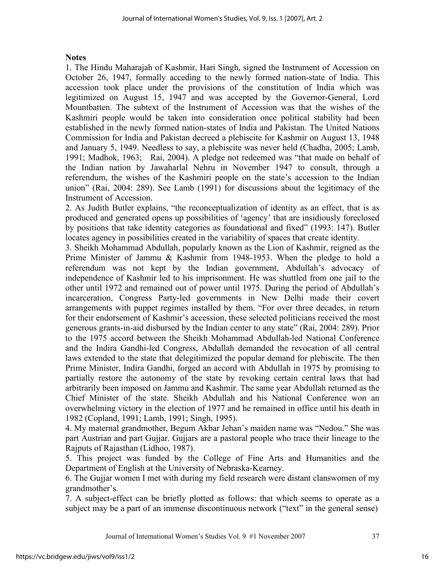## **Notes**

1. The Hindu Maharajah of Kashmir, Hari Singh, signed the Instrument of Accession on October 26, 1947, formally acceding to the newly formed nation-state of India. This accession took place under the provisions of the constitution of India which was legitimized on August 15, 1947 and was accepted by the Governor-General, Lord Mountbatten. The subtext of the Instrument of Accession was that the wishes of the Kashmiri people would be taken into consideration once political stability had been established in the newly formed nation-states of India and Pakistan. The United Nations Commission for India and Pakistan decreed a plebiscite for Kashmir on August 13, 1948 and January 5, 1949. Needless to say, a plebiscite was never held (Chadha, 2005; Lamb, 1991; Madhok, 1963; Rai, 2004). A pledge not redeemed was "that made on behalf of the Indian nation by Jawaharlal Nehru in November 1947 to consult, through a referendum, the wishes of the Kashmiri people on the state's accession to the Indian union" (Rai, 2004: 289). See Lamb (1991) for discussions about the legitimacy of the Instrument of Accession.

2. As Judith Butler explains, "the reconceptualization of identity as an effect, that is as produced and generated opens up possibilities of 'agency' that are insidiously foreclosed by positions that take identity categories as foundational and fixed" (1993: 147). Butler locates agency in possibilities created in the variability of spaces that create identity.

3. Sheikh Mohammad Abdullah, popularly known as the Lion of Kashmir, reigned as the Prime Minister of Jammu & Kashmir from 1948-1953. When the pledge to hold a referendum was not kept by the Indian government, Abdullah's advocacy of independence of Kashmir led to his imprisonment. He was shuttled from one jail to the other until 1972 and remained out of power until 1975. During the period of Abdullah's incarceration, Congress Party-led governments in New Delhi made their covert arrangements with puppet regimes installed by them. "For over three decades, in return for their endorsement of Kashmir's accession, these selected politicians received the most generous grants-in-aid disbursed by the Indian center to any state" (Rai, 2004: 289). Prior to the 1975 accord between the Sheikh Mohammad Abdullah-led National Conference and the Indira Gandhi-led Congress, Abdullah demanded the revocation of all central laws extended to the state that delegitimized the popular demand for plebiscite. The then Prime Minister, Indira Gandhi, forged an accord with Abdullah in 1975 by promising to partially restore the autonomy of the state by revoking certain central laws that had arbitrarily been imposed on Jammu and Kashmir. The same year Abdullah returned as the Chief Minister of the state. Sheikh Abdullah and his National Conference won an overwhelming victory in the election of 1977 and he remained in office until his death in 1982 (Copland, 1991; Lamb, 1991; Singh, 1995).

4. My maternal grandmother, Begum Akbar Jehan's maiden name was "Nedou." She was part Austrian and part Gujjar. Gujjars are a pastoral people who trace their lineage to the Rajputs of Rajasthan (Lidhoo, 1987).

5. This project was funded by the College of Fine Arts and Humanities and the Department of English at the University of Nebraska-Kearney.

6. The Gujjar women I met with during my field research were distant clanswomen of my grandmother's.

7. A subject-effect can be briefly plotted as follows: that which seems to operate as a subject may be a part of an immense discontinuous network ("text" in the general sense)

Journal of International Women's Studies Vol. 9 #1 November 2007 37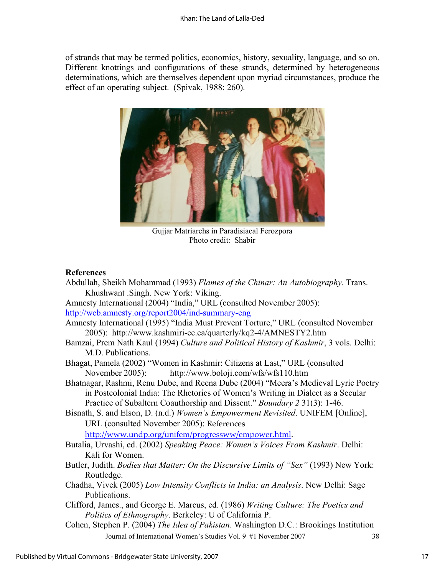of strands that may be termed politics, economics, history, sexuality, language, and so on. Different knottings and configurations of these strands, determined by heterogeneous determinations, which are themselves dependent upon myriad circumstances, produce the effect of an operating subject. (Spivak, 1988: 260).



Gujjar Matriarchs in Paradisiacal Ferozpora Photo credit: Shabir

#### **References**

Journal of International Women's Studies Vol. 9 #1 November 2007 38 Abdullah, Sheikh Mohammad (1993) *Flames of the Chinar: An Autobiography*. Trans. Khushwant .Singh. New York: Viking. Amnesty International (2004) "India," URL (consulted November 2005): <http://web.amnesty.org/report2004/ind-summary-eng> Amnesty International (1995) "India Must Prevent Torture," URL (consulted November 2005): <http://www.kashmiri-cc.ca/quarterly/kq2-4/AMNESTY2.htm> Bamzai, Prem Nath Kaul (1994) *Culture and Political History of Kashmir*, 3 vols. Delhi: M.D. Publications. Bhagat, Pamela (2002) "Women in Kashmir: Citizens at Last," URL (consulted November 2005): <http://www.boloji.com/wfs/wfs110.htm> Bhatnagar, Rashmi, Renu Dube, and Reena Dube (2004) "Meera's Medieval Lyric Poetry in Postcolonial India: The Rhetorics of Women's Writing in Dialect as a Secular Practice of Subaltern Coauthorship and Dissent." *Boundary 2* 31(3): 1-46. Bisnath, S. and Elson, D. (n.d.) *Women's Empowerment Revisited*. UNIFEM [Online], URL (consulted November 2005): References [http://www.undp.org/unifem/progressww/empower.html.](http://www.undp.org/unifem/progressww/empower.html) Butalia, Urvashi, ed. (2002) *Speaking Peace: Women's Voices From Kashmir*. Delhi: Kali for Women. Butler, Judith. *Bodies that Matter: On the Discursive Limits of "Sex"* (1993) New York: Routledge. Chadha, Vivek (2005) *Low Intensity Conflicts in India: an Analysis*. New Delhi: Sage Publications. Clifford, James., and George E. Marcus, ed. (1986) *Writing Culture: The Poetics and Politics of Ethnography*. Berkeley: U of California P. Cohen, Stephen P. (2004) *The Idea of Pakistan*. Washington D.C.: Brookings Institution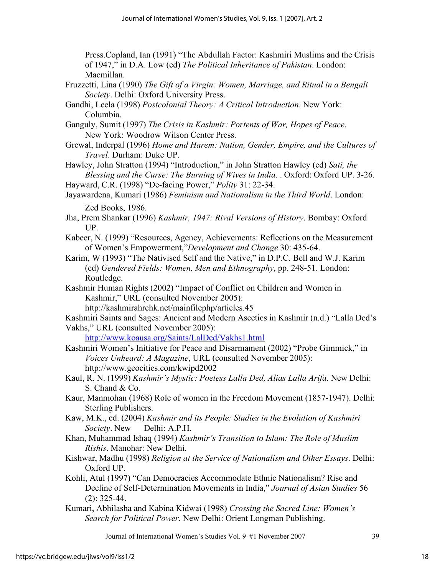Press.Copland, Ian (1991) "The Abdullah Factor: Kashmiri Muslims and the Crisis of 1947," in D.A. Low (ed) *The Political Inheritance of Pakistan*. London: Macmillan.

- Fruzzetti, Lina (1990) *The Gift of a Virgin: Women, Marriage, and Ritual in a Bengali Society*. Delhi: Oxford University Press.
- Gandhi, Leela (1998) *Postcolonial Theory: A Critical Introduction*. New York: Columbia.
- Ganguly, Sumit (1997) *The Crisis in Kashmir: Portents of War, Hopes of Peace*. New York: Woodrow Wilson Center Press.
- Grewal, Inderpal (1996) *Home and Harem: Nation, Gender, Empire, and the Cultures of Travel*. Durham: Duke UP.

Hawley, John Stratton (1994) "Introduction," in John Stratton Hawley (ed) *Sati, the Blessing and the Curse: The Burning of Wives in India*. . Oxford: Oxford UP. 3-26.

Hayward, C.R. (1998) "De-facing Power," *Polity* 31: 22-34.

- Jha, Prem Shankar (1996) *Kashmir, 1947: Rival Versions of History*. Bombay: Oxford UP.
- Kabeer, N. (1999) "Resources, Agency, Achievements: Reflections on the Measurement of Women's Empowerment,"*Development and Change* 30: 435-64.
- Karim, W (1993) "The Nativised Self and the Native," in D.P.C. Bell and W.J. Karim (ed) *Gendered Fields: Women, Men and Ethnography*, pp. 248-51. London: Routledge.
- Kashmir Human Rights (2002) "Impact of Conflict on Children and Women in Kashmir," URL (consulted November 2005):

<http://kashmirahrchk.net/mainfilephp/articles.45>

Kashmiri Saints and Sages: Ancient and Modern Ascetics in Kashmir (n.d.) "Lalla Ded's Vakhs," URL (consulted November 2005):

<http://www.koausa.org/Saints/LalDed/Vakhs1.html>

Kashmiri Women's Initiative for Peace and Disarmament (2002) "Probe Gimmick," in *Voices Unheard: A Magazine*, URL (consulted November 2005): <http://www.geocities.com/kwipd2002>

Kaul, R. N. (1999) *Kashmir's Mystic: Poetess Lalla Ded, Alias Lalla Arifa*. New Delhi: S. Chand & Co.

Kaur, Manmohan (1968) Role of women in the Freedom Movement (1857-1947). Delhi: Sterling Publishers.

- Kaw, M.K., ed. (2004) *Kashmir and its People: Studies in the Evolution of Kashmiri Society*. New Delhi: A.P.H.
- Khan, Muhammad Ishaq (1994) *Kashmir's Transition to Islam: The Role of Muslim Rishis*. Manohar: New Delhi.

Kishwar, Madhu (1998) *Religion at the Service of Nationalism and Other Essays*. Delhi: Oxford UP.

- Kohli, Atul (1997) "Can Democracies Accommodate Ethnic Nationalism? Rise and Decline of Self-Determination Movements in India," *Journal of Asian Studies* 56 (2): 325-44.
- Kumari, Abhilasha and Kabina Kidwai (1998) *Crossing the Sacred Line: Women's Search for Political Power*. New Delhi: Orient Longman Publishing.

Journal of International Women's Studies Vol. 9 #1 November 2007 39

Jayawardena, Kumari (1986) *Feminism and Nationalism in the Third World*. London: Zed Books, 1986.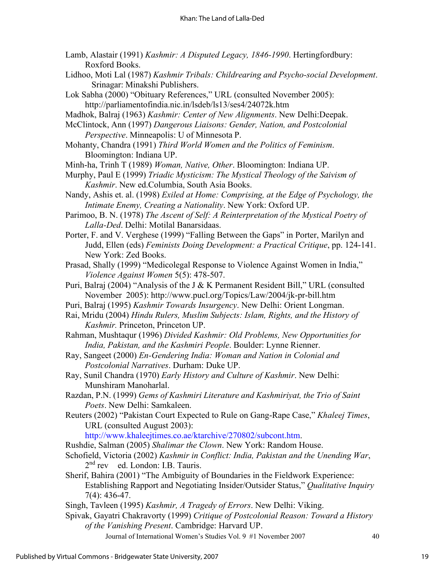- Lamb, Alastair (1991) *Kashmir: A Disputed Legacy, 1846-1990*. Hertingfordbury: Roxford Books.
- Lidhoo, Moti Lal (1987) *Kashmir Tribals: Childrearing and Psycho-social Development*. Srinagar: Minakshi Publishers.
- Lok Sabha (2000) "Obituary References," URL (consulted November 2005): <http://parliamentofindia.nic.in/lsdeb/ls13/ses4/24072k.htm>
- Madhok, Balraj (1963) *Kashmir: Center of New Alignments*. New Delhi:Deepak.

McClintock, Ann (1997) *Dangerous Liaisons: Gender, Nation, and Postcolonial Perspective*. Minneapolis: U of Minnesota P.

- Mohanty, Chandra (1991) *Third World Women and the Politics of Feminism*. Bloomington: Indiana UP.
- Minh-ha, Trinh T (1989) *Woman, Native, Other*. Bloomington: Indiana UP.

Murphy, Paul E (1999) *Triadic Mysticism: The Mystical Theology of the Saivism of Kashmir*. New ed.Columbia, South Asia Books.

- Nandy, Ashis et. al. (1998) *Exiled at Home: Comprising, at the Edge of Psychology, the Intimate Enemy, Creating a Nationality*. New York: Oxford UP.
- Parimoo, B. N. (1978) *The Ascent of Self: A Reinterpretation of the Mystical Poetry of Lalla-Ded*. Delhi: Motilal Banarsidaas.
- Porter, F. and V. Verghese (1999) "Falling Between the Gaps" in Porter, Marilyn and Judd, Ellen (eds) *Feminists Doing Development: a Practical Critique*, pp. 124-141. New York: Zed Books.
- Prasad, Shally (1999) "Medicolegal Response to Violence Against Women in India," *Violence Against Women* 5(5): 478-507.
- Puri, Balraj (2004) "Analysis of the J & K Permanent Resident Bill," URL (consulted November 2005):<http://www.pucl.org/Topics/Law/2004/jk-pr-bill.htm>
- Puri, Balraj (1995) *Kashmir Towards Insurgency*. New Delhi: Orient Longman.
- Rai, Mridu (2004) *Hindu Rulers, Muslim Subjects: Islam, Rights, and the History of Kashmir.* Princeton, Princeton UP.
- Rahman, Mushtaqur (1996) *Divided Kashmir: Old Problems, New Opportunities for India, Pakistan, and the Kashmiri People*. Boulder: Lynne Rienner.
- Ray, Sangeet (2000) *En-Gendering India: Woman and Nation in Colonial and Postcolonial Narratives*. Durham: Duke UP.
- Ray, Sunil Chandra (1970) *Early History and Culture of Kashmir*. New Delhi: Munshiram Manoharlal.
- Razdan, P.N. (1999) *Gems of Kashmiri Literature and Kashmiriyat, the Trio of Saint Poets*. New Delhi: Samkaleen.
- Reuters (2002) "Pakistan Court Expected to Rule on Gang-Rape Case," *Khaleej Times*, URL (consulted August 2003):

[http://www.khaleejtimes.co.ae/ktarchive/270802/subcont.htm.](http://www.khaleejtimes.co.ae/ktarchive/270802/subcont.htm)

- Rushdie, Salman (2005) *Shalimar the Clown*. New York: Random House.
- Schofield, Victoria (2002) *Kashmir in Conflict: India, Pakistan and the Unending War*, 2<sup>nd</sup> rev ed. London: I.B. Tauris.
- Sherif, Bahira (2001) "The Ambiguity of Boundaries in the Fieldwork Experience: Establishing Rapport and Negotiating Insider/Outsider Status," *Qualitative Inquiry*  7(4): 436-47.
- Singh, Tavleen (1995) *Kashmir, A Tragedy of Errors*. New Delhi: Viking.
- Spivak, Gayatri Chakravorty (1999) *Critique of Postcolonial Reason: Toward a History of the Vanishing Present*. Cambridge: Harvard UP.

Journal of International Women's Studies Vol. 9 #1 November 2007 40